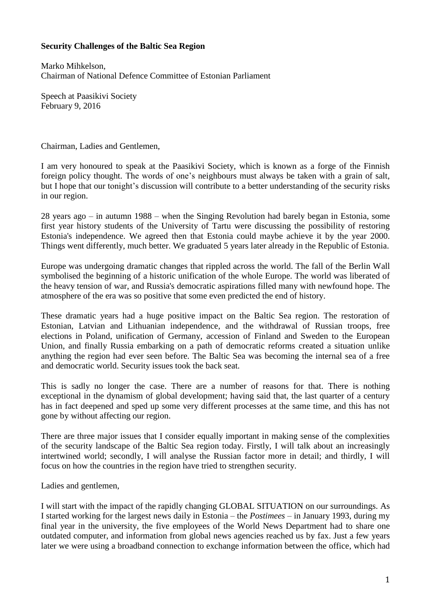## **Security Challenges of the Baltic Sea Region**

Marko Mihkelson, Chairman of National Defence Committee of Estonian Parliament

Speech at Paasikivi Society February 9, 2016

Chairman, Ladies and Gentlemen,

I am very honoured to speak at the Paasikivi Society, which is known as a forge of the Finnish foreign policy thought. The words of one's neighbours must always be taken with a grain of salt, but I hope that our tonight's discussion will contribute to a better understanding of the security risks in our region.

28 years ago – in autumn 1988 – when the Singing Revolution had barely began in Estonia, some first year history students of the University of Tartu were discussing the possibility of restoring Estonia's independence. We agreed then that Estonia could maybe achieve it by the year 2000. Things went differently, much better. We graduated 5 years later already in the Republic of Estonia.

Europe was undergoing dramatic changes that rippled across the world. The fall of the Berlin Wall symbolised the beginning of a historic unification of the whole Europe. The world was liberated of the heavy tension of war, and Russia's democratic aspirations filled many with newfound hope. The atmosphere of the era was so positive that some even predicted the end of history.

These dramatic years had a huge positive impact on the Baltic Sea region. The restoration of Estonian, Latvian and Lithuanian independence, and the withdrawal of Russian troops, free elections in Poland, unification of Germany, accession of Finland and Sweden to the European Union, and finally Russia embarking on a path of democratic reforms created a situation unlike anything the region had ever seen before. The Baltic Sea was becoming the internal sea of a free and democratic world. Security issues took the back seat.

This is sadly no longer the case. There are a number of reasons for that. There is nothing exceptional in the dynamism of global development; having said that, the last quarter of a century has in fact deepened and sped up some very different processes at the same time, and this has not gone by without affecting our region.

There are three major issues that I consider equally important in making sense of the complexities of the security landscape of the Baltic Sea region today. Firstly, I will talk about an increasingly intertwined world; secondly, I will analyse the Russian factor more in detail; and thirdly, I will focus on how the countries in the region have tried to strengthen security.

Ladies and gentlemen,

I will start with the impact of the rapidly changing GLOBAL SITUATION on our surroundings. As I started working for the largest news daily in Estonia – the *Postimees* – in January 1993, during my final year in the university, the five employees of the World News Department had to share one outdated computer, and information from global news agencies reached us by fax. Just a few years later we were using a broadband connection to exchange information between the office, which had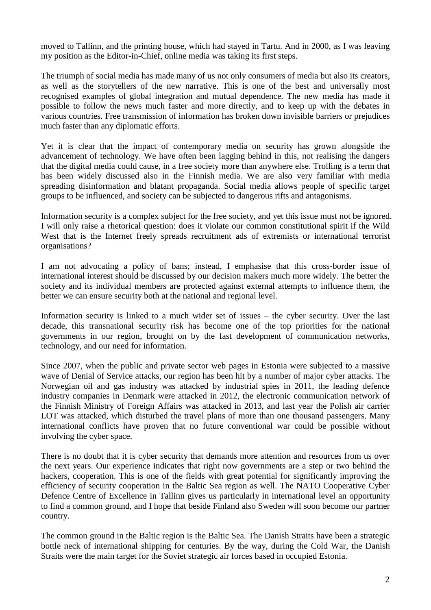moved to Tallinn, and the printing house, which had stayed in Tartu. And in 2000, as I was leaving my position as the Editor-in-Chief, online media was taking its first steps.

The triumph of social media has made many of us not only consumers of media but also its creators, as well as the storytellers of the new narrative. This is one of the best and universally most recognised examples of global integration and mutual dependence. The new media has made it possible to follow the news much faster and more directly, and to keep up with the debates in various countries. Free transmission of information has broken down invisible barriers or prejudices much faster than any diplomatic efforts.

Yet it is clear that the impact of contemporary media on security has grown alongside the advancement of technology. We have often been lagging behind in this, not realising the dangers that the digital media could cause, in a free society more than anywhere else. Trolling is a term that has been widely discussed also in the Finnish media. We are also very familiar with media spreading disinformation and blatant propaganda. Social media allows people of specific target groups to be influenced, and society can be subjected to dangerous rifts and antagonisms.

Information security is a complex subject for the free society, and yet this issue must not be ignored. I will only raise a rhetorical question: does it violate our common constitutional spirit if the Wild West that is the Internet freely spreads recruitment ads of extremists or international terrorist organisations?

I am not advocating a policy of bans; instead, I emphasise that this cross-border issue of international interest should be discussed by our decision makers much more widely. The better the society and its individual members are protected against external attempts to influence them, the better we can ensure security both at the national and regional level.

Information security is linked to a much wider set of issues – the cyber security. Over the last decade, this transnational security risk has become one of the top priorities for the national governments in our region, brought on by the fast development of communication networks, technology, and our need for information.

Since 2007, when the public and private sector web pages in Estonia were subjected to a massive wave of Denial of Service attacks, our region has been hit by a number of major cyber attacks. The Norwegian oil and gas industry was attacked by industrial spies in 2011, the leading defence industry companies in Denmark were attacked in 2012, the electronic communication network of the Finnish Ministry of Foreign Affairs was attacked in 2013, and last year the Polish air carrier LOT was attacked, which disturbed the travel plans of more than one thousand passengers. Many international conflicts have proven that no future conventional war could be possible without involving the cyber space.

There is no doubt that it is cyber security that demands more attention and resources from us over the next years. Our experience indicates that right now governments are a step or two behind the hackers, cooperation. This is one of the fields with great potential for significantly improving the efficiency of security cooperation in the Baltic Sea region as well. The NATO Cooperative Cyber Defence Centre of Excellence in Tallinn gives us particularly in international level an opportunity to find a common ground, and I hope that beside Finland also Sweden will soon become our partner country.

The common ground in the Baltic region is the Baltic Sea. The Danish Straits have been a strategic bottle neck of international shipping for centuries. By the way, during the Cold War, the Danish Straits were the main target for the Soviet strategic air forces based in occupied Estonia.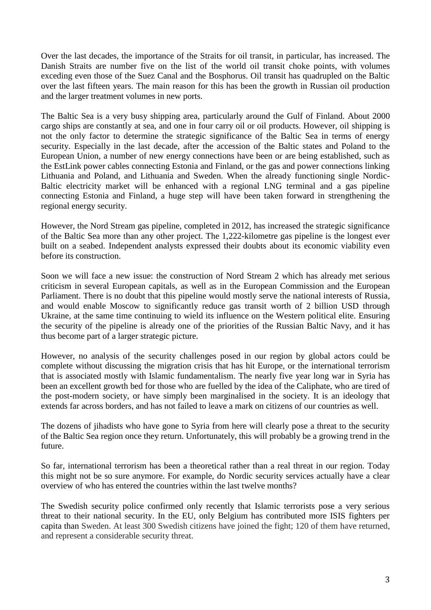Over the last decades, the importance of the Straits for oil transit, in particular, has increased. The Danish Straits are number five on the list of the world oil transit choke points, with volumes exceding even those of the Suez Canal and the Bosphorus. Oil transit has quadrupled on the Baltic over the last fifteen years. The main reason for this has been the growth in Russian oil production and the larger treatment volumes in new ports.

The Baltic Sea is a very busy shipping area, particularly around the Gulf of Finland. About 2000 cargo ships are constantly at sea, and one in four carry oil or oil products. However, oil shipping is not the only factor to determine the strategic significance of the Baltic Sea in terms of energy security. Especially in the last decade, after the accession of the Baltic states and Poland to the European Union, a number of new energy connections have been or are being established, such as the EstLink power cables connecting Estonia and Finland, or the gas and power connections linking Lithuania and Poland, and Lithuania and Sweden. When the already functioning single Nordic-Baltic electricity market will be enhanced with a regional LNG terminal and a gas pipeline connecting Estonia and Finland, a huge step will have been taken forward in strengthening the regional energy security.

However, the Nord Stream gas pipeline, completed in 2012, has increased the strategic significance of the Baltic Sea more than any other project. The 1,222-kilometre gas pipeline is the longest ever built on a seabed. Independent analysts expressed their doubts about its economic viability even before its construction.

Soon we will face a new issue: the construction of Nord Stream 2 which has already met serious criticism in several European capitals, as well as in the European Commission and the European Parliament. There is no doubt that this pipeline would mostly serve the national interests of Russia, and would enable Moscow to significantly reduce gas transit worth of 2 billion USD through Ukraine, at the same time continuing to wield its influence on the Western political elite. Ensuring the security of the pipeline is already one of the priorities of the Russian Baltic Navy, and it has thus become part of a larger strategic picture.

However, no analysis of the security challenges posed in our region by global actors could be complete without discussing the migration crisis that has hit Europe, or the international terrorism that is associated mostly with Islamic fundamentalism. The nearly five year long war in Syria has been an excellent growth bed for those who are fuelled by the idea of the Caliphate, who are tired of the post-modern society, or have simply been marginalised in the society. It is an ideology that extends far across borders, and has not failed to leave a mark on citizens of our countries as well.

The dozens of jihadists who have gone to Syria from here will clearly pose a threat to the security of the Baltic Sea region once they return. Unfortunately, this will probably be a growing trend in the future.

So far, international terrorism has been a theoretical rather than a real threat in our region. Today this might not be so sure anymore. For example, do Nordic security services actually have a clear overview of who has entered the countries within the last twelve months?

The Swedish security police confirmed only recently that Islamic terrorists pose a very serious threat to their national security. In the EU, only Belgium has contributed more ISIS fighters per capita than Sweden. At least 300 Swedish citizens have joined the fight; 120 of them have returned, and represent a considerable security threat.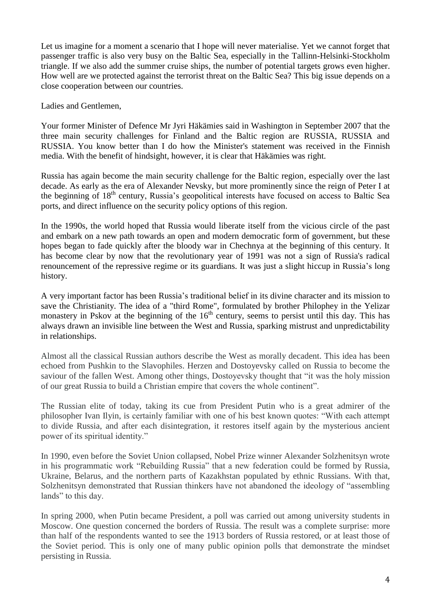Let us imagine for a moment a scenario that I hope will never materialise. Yet we cannot forget that passenger traffic is also very busy on the Baltic Sea, especially in the Tallinn-Helsinki-Stockholm triangle. If we also add the summer cruise ships, the number of potential targets grows even higher. How well are we protected against the terrorist threat on the Baltic Sea? This big issue depends on a close cooperation between our countries.

Ladies and Gentlemen,

Your former Minister of Defence Mr Jyri Häkämies said in Washington in September 2007 that the three main security challenges for Finland and the Baltic region are RUSSIA, RUSSIA and RUSSIA. You know better than I do how the Minister's statement was received in the Finnish media. With the benefit of hindsight, however, it is clear that Häkämies was right.

Russia has again become the main security challenge for the Baltic region, especially over the last decade. As early as the era of Alexander Nevsky, but more prominently since the reign of Peter I at the beginning of 18<sup>th</sup> century, Russia's geopolitical interests have focused on access to Baltic Sea ports, and direct influence on the security policy options of this region.

In the 1990s, the world hoped that Russia would liberate itself from the vicious circle of the past and embark on a new path towards an open and modern democratic form of government, but these hopes began to fade quickly after the bloody war in Chechnya at the beginning of this century. It has become clear by now that the revolutionary year of 1991 was not a sign of Russia's radical renouncement of the repressive regime or its guardians. It was just a slight hiccup in Russia's long history.

A very important factor has been Russia's traditional belief in its divine character and its mission to save the Christianity. The idea of a "third Rome", formulated by brother Philophey in the Yelizar monastery in Pskov at the beginning of the  $16<sup>th</sup>$  century, seems to persist until this day. This has always drawn an invisible line between the West and Russia, sparking mistrust and unpredictability in relationships.

Almost all the classical Russian authors describe the West as morally decadent. This idea has been echoed from Pushkin to the Slavophiles. Herzen and Dostoyevsky called on Russia to become the saviour of the fallen West. Among other things, Dostoyevsky thought that "it was the holy mission of our great Russia to build a Christian empire that covers the whole continent".

The Russian elite of today, taking its cue from President Putin who is a great admirer of the philosopher Ivan Ilyin, is certainly familiar with one of his best known quotes: "With each attempt to divide Russia, and after each disintegration, it restores itself again by the mysterious ancient power of its spiritual identity."

In 1990, even before the Soviet Union collapsed, Nobel Prize winner Alexander Solzhenitsyn wrote in his programmatic work "Rebuilding Russia" that a new federation could be formed by Russia, Ukraine, Belarus, and the northern parts of Kazakhstan populated by ethnic Russians. With that, Solzhenitsyn demonstrated that Russian thinkers have not abandoned the ideology of "assembling lands" to this day.

In spring 2000, when Putin became President, a poll was carried out among university students in Moscow. One question concerned the borders of Russia. The result was a complete surprise: more than half of the respondents wanted to see the 1913 borders of Russia restored, or at least those of the Soviet period. This is only one of many public opinion polls that demonstrate the mindset persisting in Russia.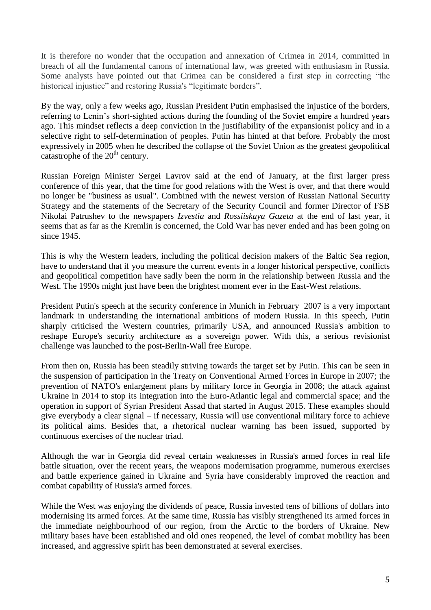It is therefore no wonder that the occupation and annexation of Crimea in 2014, committed in breach of all the fundamental canons of international law, was greeted with enthusiasm in Russia. Some analysts have pointed out that Crimea can be considered a first step in correcting "the historical injustice" and restoring Russia's "legitimate borders".

By the way, only a few weeks ago, Russian President Putin emphasised the injustice of the borders, referring to Lenin's short-sighted actions during the founding of the Soviet empire a hundred years ago. This mindset reflects a deep conviction in the justifiability of the expansionist policy and in a selective right to self-determination of peoples. Putin has hinted at that before. Probably the most expressively in 2005 when he described the collapse of the Soviet Union as the greatest geopolitical catastrophe of the  $20<sup>th</sup>$  century.

Russian Foreign Minister Sergei Lavrov said at the end of January, at the first larger press conference of this year, that the time for good relations with the West is over, and that there would no longer be "business as usual". Combined with the newest version of Russian National Security Strategy and the statements of the Secretary of the Security Council and former Director of FSB Nikolai Patrushev to the newspapers *Izvestia* and *Rossiiskaya Gazeta* at the end of last year, it seems that as far as the Kremlin is concerned, the Cold War has never ended and has been going on since 1945.

This is why the Western leaders, including the political decision makers of the Baltic Sea region, have to understand that if you measure the current events in a longer historical perspective, conflicts and geopolitical competition have sadly been the norm in the relationship between Russia and the West. The 1990s might just have been the brightest moment ever in the East-West relations.

President Putin's speech at the security conference in Munich in February 2007 is a very important landmark in understanding the international ambitions of modern Russia. In this speech, Putin sharply criticised the Western countries, primarily USA, and announced Russia's ambition to reshape Europe's security architecture as a sovereign power. With this, a serious revisionist challenge was launched to the post-Berlin-Wall free Europe.

From then on, Russia has been steadily striving towards the target set by Putin. This can be seen in the suspension of participation in the Treaty on Conventional Armed Forces in Europe in 2007; the prevention of NATO's enlargement plans by military force in Georgia in 2008; the attack against Ukraine in 2014 to stop its integration into the Euro-Atlantic legal and commercial space; and the operation in support of Syrian President Assad that started in August 2015. These examples should give everybody a clear signal – if necessary, Russia will use conventional military force to achieve its political aims. Besides that, a rhetorical nuclear warning has been issued, supported by continuous exercises of the nuclear triad.

Although the war in Georgia did reveal certain weaknesses in Russia's armed forces in real life battle situation, over the recent years, the weapons modernisation programme, numerous exercises and battle experience gained in Ukraine and Syria have considerably improved the reaction and combat capability of Russia's armed forces.

While the West was enjoying the dividends of peace, Russia invested tens of billions of dollars into modernising its armed forces. At the same time, Russia has visibly strengthened its armed forces in the immediate neighbourhood of our region, from the Arctic to the borders of Ukraine. New military bases have been established and old ones reopened, the level of combat mobility has been increased, and aggressive spirit has been demonstrated at several exercises.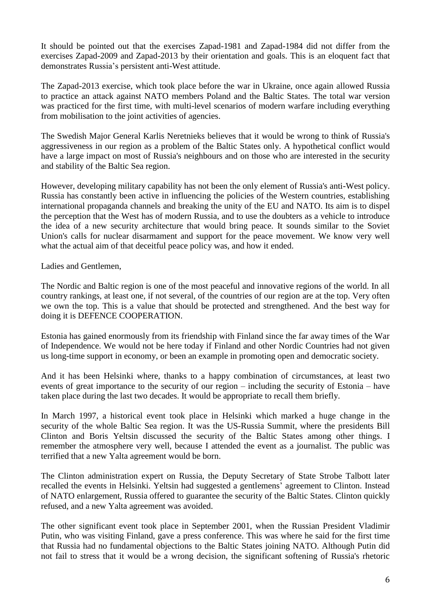It should be pointed out that the exercises Zapad-1981 and Zapad-1984 did not differ from the exercises Zapad-2009 and Zapad-2013 by their orientation and goals. This is an eloquent fact that demonstrates Russia's persistent anti-West attitude.

The Zapad-2013 exercise, which took place before the war in Ukraine, once again allowed Russia to practice an attack against NATO members Poland and the Baltic States. The total war version was practiced for the first time, with multi-level scenarios of modern warfare including everything from mobilisation to the joint activities of agencies.

The Swedish Major General Karlis Neretnieks believes that it would be wrong to think of Russia's aggressiveness in our region as a problem of the Baltic States only. A hypothetical conflict would have a large impact on most of Russia's neighbours and on those who are interested in the security and stability of the Baltic Sea region.

However, developing military capability has not been the only element of Russia's anti-West policy. Russia has constantly been active in influencing the policies of the Western countries, establishing international propaganda channels and breaking the unity of the EU and NATO. Its aim is to dispel the perception that the West has of modern Russia, and to use the doubters as a vehicle to introduce the idea of a new security architecture that would bring peace. It sounds similar to the Soviet Union's calls for nuclear disarmament and support for the peace movement. We know very well what the actual aim of that deceitful peace policy was, and how it ended.

Ladies and Gentlemen,

The Nordic and Baltic region is one of the most peaceful and innovative regions of the world. In all country rankings, at least one, if not several, of the countries of our region are at the top. Very often we own the top. This is a value that should be protected and strengthened. And the best way for doing it is DEFENCE COOPERATION.

Estonia has gained enormously from its friendship with Finland since the far away times of the War of Independence. We would not be here today if Finland and other Nordic Countries had not given us long-time support in economy, or been an example in promoting open and democratic society.

And it has been Helsinki where, thanks to a happy combination of circumstances, at least two events of great importance to the security of our region – including the security of Estonia – have taken place during the last two decades. It would be appropriate to recall them briefly.

In March 1997, a historical event took place in Helsinki which marked a huge change in the security of the whole Baltic Sea region. It was the US-Russia Summit, where the presidents Bill Clinton and Boris Yeltsin discussed the security of the Baltic States among other things. I remember the atmosphere very well, because I attended the event as a journalist. The public was terrified that a new Yalta agreement would be born.

The Clinton administration expert on Russia, the Deputy Secretary of State Strobe Talbott later recalled the events in Helsinki. Yeltsin had suggested a gentlemens' agreement to Clinton. Instead of NATO enlargement, Russia offered to guarantee the security of the Baltic States. Clinton quickly refused, and a new Yalta agreement was avoided.

The other significant event took place in September 2001, when the Russian President Vladimir Putin, who was visiting Finland, gave a press conference. This was where he said for the first time that Russia had no fundamental objections to the Baltic States joining NATO. Although Putin did not fail to stress that it would be a wrong decision, the significant softening of Russia's rhetoric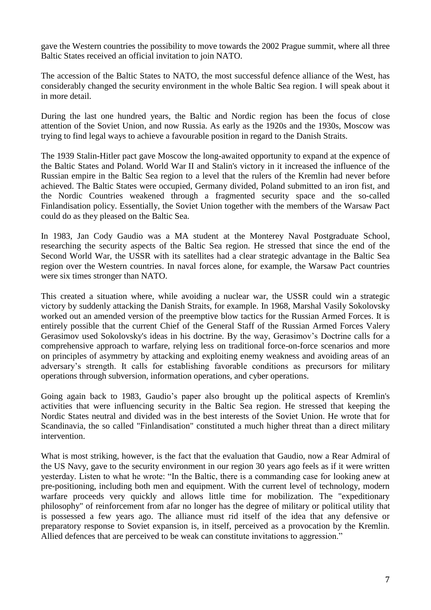gave the Western countries the possibility to move towards the 2002 Prague summit, where all three Baltic States received an official invitation to join NATO.

The accession of the Baltic States to NATO, the most successful defence alliance of the West, has considerably changed the security environment in the whole Baltic Sea region. I will speak about it in more detail.

During the last one hundred years, the Baltic and Nordic region has been the focus of close attention of the Soviet Union, and now Russia. As early as the 1920s and the 1930s, Moscow was trying to find legal ways to achieve a favourable position in regard to the Danish Straits.

The 1939 Stalin-Hitler pact gave Moscow the long-awaited opportunity to expand at the expence of the Baltic States and Poland. World War II and Stalin's victory in it increased the influence of the Russian empire in the Baltic Sea region to a level that the rulers of the Kremlin had never before achieved. The Baltic States were occupied, Germany divided, Poland submitted to an iron fist, and the Nordic Countries weakened through a fragmented security space and the so-called Finlandisation policy. Essentially, the Soviet Union together with the members of the Warsaw Pact could do as they pleased on the Baltic Sea.

In 1983, Jan Cody Gaudio was a MA student at the Monterey Naval Postgraduate School, researching the security aspects of the Baltic Sea region. He stressed that since the end of the Second World War, the USSR with its satellites had a clear strategic advantage in the Baltic Sea region over the Western countries. In naval forces alone, for example, the Warsaw Pact countries were six times stronger than NATO.

This created a situation where, while avoiding a nuclear war, the USSR could win a strategic victory by suddenly attacking the Danish Straits, for example. In 1968, Marshal Vasily Sokolovsky worked out an amended version of the preemptive blow tactics for the Russian Armed Forces. It is entirely possible that the current Chief of the General Staff of the Russian Armed Forces Valery Gerasimov used Sokolovsky's ideas in his doctrine. By the way, Gerasimov's Doctrine calls for a comprehensive approach to warfare, relying less on traditional force-on-force scenarios and more on principles of asymmetry by attacking and exploiting enemy weakness and avoiding areas of an adversary's strength. It calls for establishing favorable conditions as precursors for military operations through subversion, information operations, and cyber operations.

Going again back to 1983, Gaudio's paper also brought up the political aspects of Kremlin's activities that were influencing security in the Baltic Sea region. He stressed that keeping the Nordic States neutral and divided was in the best interests of the Soviet Union. He wrote that for Scandinavia, the so called "Finlandisation" constituted a much higher threat than a direct military intervention.

What is most striking, however, is the fact that the evaluation that Gaudio, now a Rear Admiral of the US Navy, gave to the security environment in our region 30 years ago feels as if it were written yesterday. Listen to what he wrote: "In the Baltic, there is a commanding case for looking anew at pre-positioning, including both men and equipment. With the current level of technology, modern warfare proceeds very quickly and allows little time for mobilization. The "expeditionary philosophy" of reinforcement from afar no longer has the degree of military or political utility that is possessed a few years ago. The alliance must rid itself of the idea that any defensive or preparatory response to Soviet expansion is, in itself, perceived as a provocation by the Kremlin. Allied defences that are perceived to be weak can constitute invitations to aggression."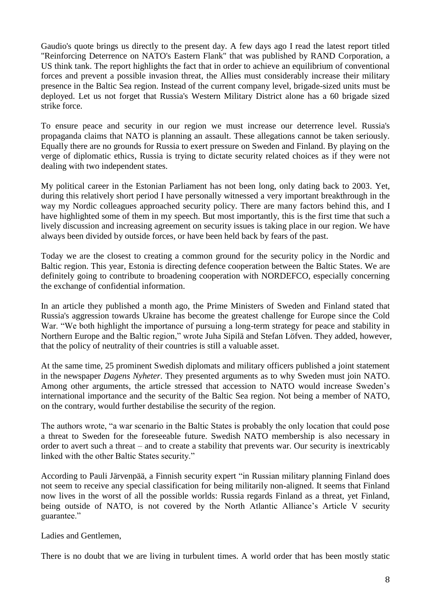Gaudio's quote brings us directly to the present day. A few days ago I read the latest report titled "Reinforcing Deterrence on NATO's Eastern Flank" that was published by RAND Corporation, a US think tank. The report highlights the fact that in order to achieve an equilibrium of conventional forces and prevent a possible invasion threat, the Allies must considerably increase their military presence in the Baltic Sea region. Instead of the current company level, brigade-sized units must be deployed. Let us not forget that Russia's Western Military District alone has a 60 brigade sized strike force.

To ensure peace and security in our region we must increase our deterrence level. Russia's propaganda claims that NATO is planning an assault. These allegations cannot be taken seriously. Equally there are no grounds for Russia to exert pressure on Sweden and Finland. By playing on the verge of diplomatic ethics, Russia is trying to dictate security related choices as if they were not dealing with two independent states.

My political career in the Estonian Parliament has not been long, only dating back to 2003. Yet, during this relatively short period I have personally witnessed a very important breakthrough in the way my Nordic colleagues approached security policy. There are many factors behind this, and I have highlighted some of them in my speech. But most importantly, this is the first time that such a lively discussion and increasing agreement on security issues is taking place in our region. We have always been divided by outside forces, or have been held back by fears of the past.

Today we are the closest to creating a common ground for the security policy in the Nordic and Baltic region. This year, Estonia is directing defence cooperation between the Baltic States. We are definitely going to contribute to broadening cooperation with NORDEFCO, especially concerning the exchange of confidential information.

In an article they published a month ago, the Prime Ministers of Sweden and Finland stated that Russia's aggression towards Ukraine has become the greatest challenge for Europe since the Cold War. "We both highlight the importance of pursuing a long-term strategy for peace and stability in Northern Europe and the Baltic region," wrote Juha Sipilä and Stefan Löfven. They added, however, that the policy of neutrality of their countries is still a valuable asset.

At the same time, 25 prominent Swedish diplomats and military officers published a joint statement in the newspaper *Dagens Nyheter*. They presented arguments as to why Sweden must join NATO. Among other arguments, the article stressed that accession to NATO would increase Sweden's international importance and the security of the Baltic Sea region. Not being a member of NATO, on the contrary, would further destabilise the security of the region.

The authors wrote, "a war scenario in the Baltic States is probably the only location that could pose a threat to Sweden for the foreseeable future. Swedish NATO membership is also necessary in order to avert such a threat – and to create a stability that prevents war. Our security is inextricably linked with the other Baltic States security."

According to Pauli Järvenpää, a Finnish security expert "in Russian military planning Finland does not seem to receive any special classification for being militarily non-aligned. It seems that Finland now lives in the worst of all the possible worlds: Russia regards Finland as a threat, yet Finland, being outside of NATO, is not covered by the North Atlantic Alliance's Article V security guarantee."

Ladies and Gentlemen,

There is no doubt that we are living in turbulent times. A world order that has been mostly static